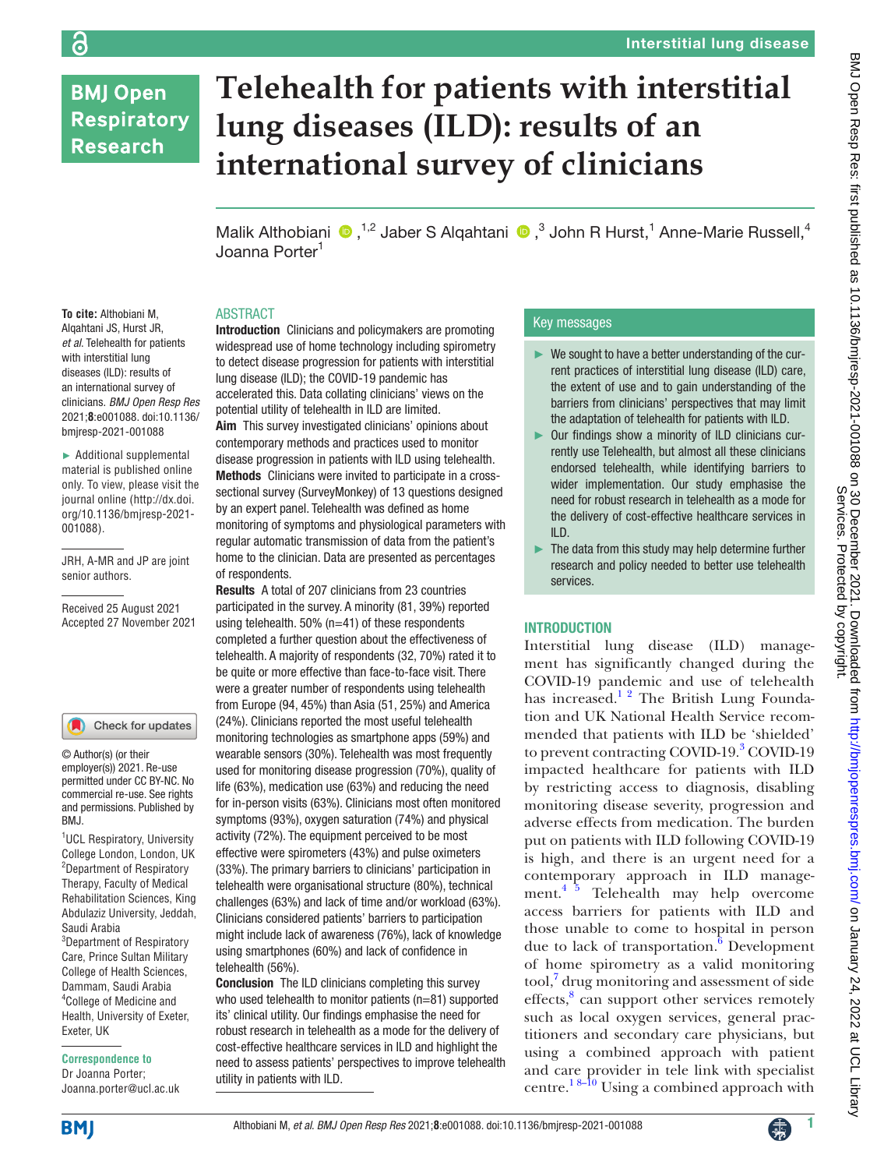# **BMJ Open Respiratory Research**

# **Telehealth for patients with interstitial lung diseases (ILD): results of an international survey of clinicians**

Malik Althobiani  $\bigcirc$ ,<sup>1,2</sup> Jaber S Alqahtani  $\bigcirc$ ,<sup>3</sup> John R Hurst,<sup>1</sup> Anne-Marie Russell,<sup>4</sup> Joanna Porter1

#### ABSTRACT

**To cite:** Althobiani M, Alqahtani JS, Hurst JR, *et al*. Telehealth for patients with interstitial lung diseases (ILD): results of an international survey of clinicians. *BMJ Open Resp Res* 2021;**8**:e001088. doi:10.1136/ bmjresp-2021-001088

► Additional supplemental material is published online only. To view, please visit the journal online ([http://dx.doi.](http://dx.doi.org/10.1136/bmjresp-2021-001088) [org/10.1136/bmjresp-2021-](http://dx.doi.org/10.1136/bmjresp-2021-001088) [001088](http://dx.doi.org/10.1136/bmjresp-2021-001088)).

JRH, A-MR and JP are joint senior authors.

Received 25 August 2021 Accepted 27 November 2021

#### Check for updates

© Author(s) (or their employer(s)) 2021. Re-use permitted under CC BY-NC. No commercial re-use. See rights and permissions. Published by BMJ.

<sup>1</sup>UCL Respiratory, University College London, London, UK 2 Department of Respiratory Therapy, Faculty of Medical Rehabilitation Sciences, King Abdulaziz University, Jeddah, Saudi Arabia <sup>3</sup>Department of Respiratory Care, Prince Sultan Military

College of Health Sciences, Dammam, Saudi Arabia 4 College of Medicine and Health, University of Exeter, Exeter, UK

**Correspondence to** Dr Joanna Porter;

Joanna.porter@ucl.ac.uk

Introduction Clinicians and policymakers are promoting widespread use of home technology including spirometry to detect disease progression for patients with interstitial lung disease (ILD); the COVID-19 pandemic has accelerated this. Data collating clinicians' views on the potential utility of telehealth in ILD are limited. Aim This survey investigated clinicians' opinions about contemporary methods and practices used to monitor disease progression in patients with ILD using telehealth. Methods Clinicians were invited to participate in a crosssectional survey (SurveyMonkey) of 13 questions designed by an expert panel. Telehealth was defined as home monitoring of symptoms and physiological parameters with regular automatic transmission of data from the patient's home to the clinician. Data are presented as percentages of respondents.

Results A total of 207 clinicians from 23 countries participated in the survey. A minority (81, 39%) reported using telehealth.  $50\%$  (n=41) of these respondents completed a further question about the effectiveness of telehealth. A majority of respondents (32, 70%) rated it to be quite or more effective than face-to-face visit. There were a greater number of respondents using telehealth from Europe (94, 45%) than Asia (51, 25%) and America (24%). Clinicians reported the most useful telehealth monitoring technologies as smartphone apps (59%) and wearable sensors (30%). Telehealth was most frequently used for monitoring disease progression (70%), quality of life (63%), medication use (63%) and reducing the need for in-person visits (63%). Clinicians most often monitored symptoms (93%), oxygen saturation (74%) and physical activity (72%). The equipment perceived to be most effective were spirometers (43%) and pulse oximeters (33%). The primary barriers to clinicians' participation in telehealth were organisational structure (80%), technical challenges (63%) and lack of time and/or workload (63%). Clinicians considered patients' barriers to participation might include lack of awareness (76%), lack of knowledge using smartphones (60%) and lack of confidence in telehealth (56%).

Conclusion The ILD clinicians completing this survey who used telehealth to monitor patients (n=81) supported its' clinical utility. Our findings emphasise the need for robust research in telehealth as a mode for the delivery of cost-effective healthcare services in ILD and highlight the need to assess patients' perspectives to improve telehealth utility in patients with ILD.

## Key messages

- $\blacktriangleright$  We sought to have a better understanding of the current practices of interstitial lung disease (ILD) care, the extent of use and to gain understanding of the barriers from clinicians' perspectives that may limit the adaptation of telehealth for patients with ILD.
- ► Our findings show a minority of ILD clinicians currently use Telehealth, but almost all these clinicians endorsed telehealth, while identifying barriers to wider implementation. Our study emphasise the need for robust research in telehealth as a mode for the delivery of cost-effective healthcare services in ILD.
- ► The data from this study may help determine further research and policy needed to better use telehealth services.

#### INTRODUCTION

Interstitial lung disease (ILD) management has significantly changed during the COVID-19 pandemic and use of telehealth has increased.<sup>12</sup> The British Lung Foundation and UK National Health Service recommended that patients with ILD be 'shielded' to prevent contracting COVID-19.<sup>3</sup> COVID-19 impacted healthcare for patients with ILD by restricting access to diagnosis, disabling monitoring disease severity, progression and adverse effects from medication. The burden put on patients with ILD following COVID-19 is high, and there is an urgent need for a contemporary approach in ILD manage-ment.<sup>[4 5](#page-6-2)</sup> Telehealth may help overcome access barriers for patients with ILD and those unable to come to hospital in person due to lack of transportation. $\delta$  Development of home spirometry as a valid monitoring tool,<sup>7</sup> drug monitoring and assessment of side effects,<sup>[8](#page-6-5)</sup> can support other services remotely such as local oxygen services, general practitioners and secondary care physicians, but using a combined approach with patient and care provider in tele link with specialist centre.<sup>18-10</sup> Using a combined approach with

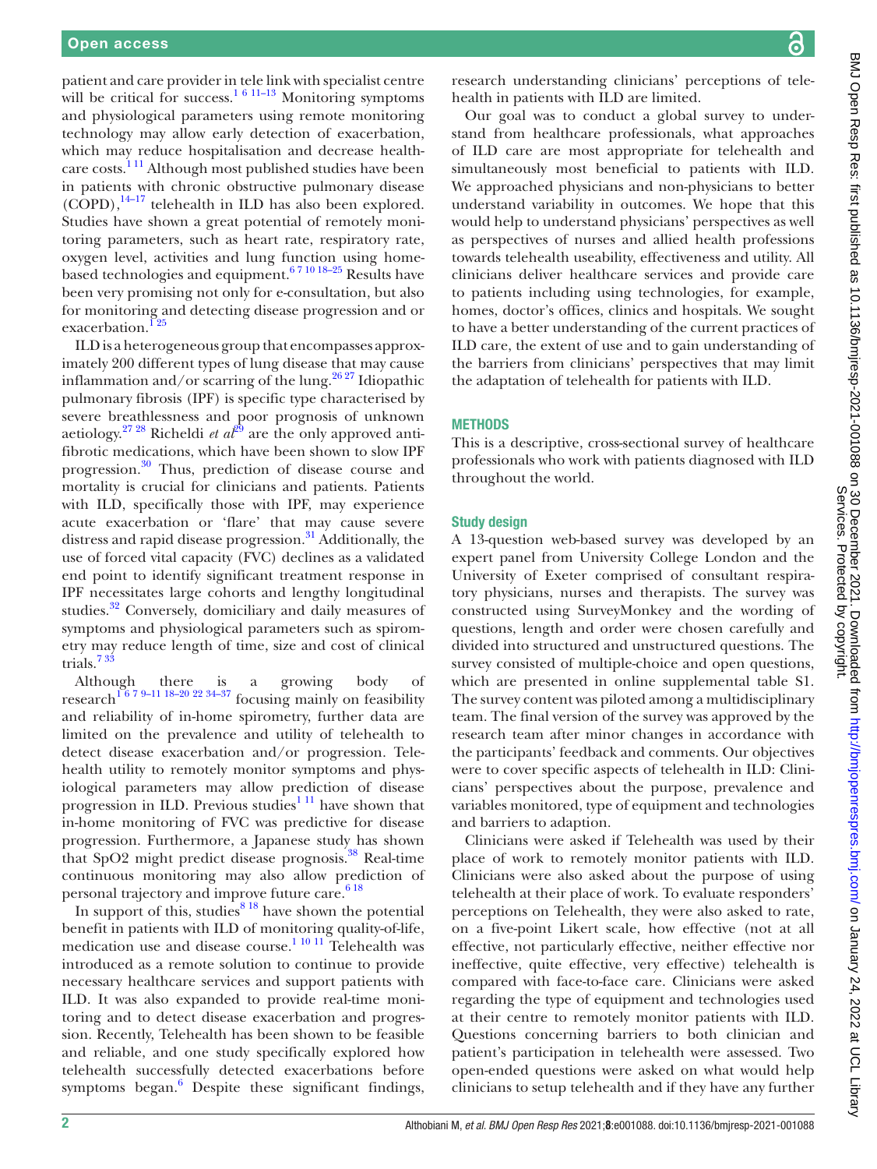patient and care provider in tele link with specialist centre will be critical for success.<sup>1 6 11–13</sup> Monitoring symptoms and physiological parameters using remote monitoring technology may allow early detection of exacerbation, which may reduce hospitalisation and decrease healthcare costs.[1 11](#page-6-0) Although most published studies have been in patients with chronic obstructive pulmonary disease  $(COPD)$ ,  $^{14-17}$  telehealth in ILD has also been explored. Studies have shown a great potential of remotely monitoring parameters, such as heart rate, respiratory rate, oxygen level, activities and lung function using homebased technologies and equipment.<sup>67 10 18-25</sup> Results have been very promising not only for e-consultation, but also for monitoring and detecting disease progression and or exacerbation.<sup>125</sup>

ILD is a heterogeneous group that encompasses approximately 200 different types of lung disease that may cause inflammation and/or scarring of the lung.<sup>26,27</sup> Idiopathic pulmonary fibrosis (IPF) is specific type characterised by severe breathlessness and poor prognosis of unknown aetiology.<sup>[27 28](#page-7-2)</sup> Richeldi *et al*<sup>29</sup> are the only approved antifibrotic medications, which have been shown to slow IPF progression.[30](#page-7-4) Thus, prediction of disease course and mortality is crucial for clinicians and patients. Patients with ILD, specifically those with IPF, may experience acute exacerbation or 'flare' that may cause severe distress and rapid disease progression.<sup>31</sup> Additionally, the use of forced vital capacity (FVC) declines as a validated end point to identify significant treatment response in IPF necessitates large cohorts and lengthy longitudinal studies.<sup>[32](#page-7-6)</sup> Conversely, domiciliary and daily measures of symptoms and physiological parameters such as spirometry may reduce length of time, size and cost of clinical trials.[7 33](#page-6-4)

Although there is a growing body of research<sup>[1 6 7 9–11 18–20 22 34–37](#page-6-0)</sup> focusing mainly on feasibility and reliability of in-home spirometry, further data are limited on the prevalence and utility of telehealth to detect disease exacerbation and/or progression. Telehealth utility to remotely monitor symptoms and physiological parameters may allow prediction of disease progression in ILD. Previous studies<sup>1 11</sup> have shown that in-home monitoring of FVC was predictive for disease progression. Furthermore, a Japanese study has shown that SpO2 might predict disease prognosis.<sup>38</sup> Real-time continuous monitoring may also allow prediction of personal trajectory and improve future care.<sup>618</sup>

In support of this, studies $818$  have shown the potential benefit in patients with ILD of monitoring quality-of-life, medication use and disease course.<sup>1 10 11</sup> Telehealth was introduced as a remote solution to continue to provide necessary healthcare services and support patients with ILD. It was also expanded to provide real-time monitoring and to detect disease exacerbation and progression. Recently, Telehealth has been shown to be feasible and reliable, and one study specifically explored how telehealth successfully detected exacerbations before symptoms began. $6$  Despite these significant findings, BMJ Open Resp Res: first published as 10.1136/bmjresp-2021-001088 on 30 December 2021. Downloaded from http://bmjopenrespres.bmj.com/ on January 24, 2022 at UCL Library<br>Service Strater Press: first published as 10.1136/bmj BMJ Open Resp Res: first published as 10.1136/bmjresp-2021-001088 on 30 December 2021. Downloaded from <http://bmjopenrespres.bmj.com/> on January 24, 2022 at UCL Library Services. Protected by copyright.

research understanding clinicians' perceptions of telehealth in patients with ILD are limited.

Our goal was to conduct a global survey to understand from healthcare professionals, what approaches of ILD care are most appropriate for telehealth and simultaneously most beneficial to patients with ILD. We approached physicians and non-physicians to better understand variability in outcomes. We hope that this would help to understand physicians' perspectives as well as perspectives of nurses and allied health professions towards telehealth useability, effectiveness and utility. All clinicians deliver healthcare services and provide care to patients including using technologies, for example, homes, doctor's offices, clinics and hospitals. We sought to have a better understanding of the current practices of ILD care, the extent of use and to gain understanding of the barriers from clinicians' perspectives that may limit the adaptation of telehealth for patients with ILD.

#### **METHODS**

This is a descriptive, cross-sectional survey of healthcare professionals who work with patients diagnosed with ILD throughout the world.

#### Study design

A 13-question web-based survey was developed by an expert panel from University College London and the University of Exeter comprised of consultant respiratory physicians, nurses and therapists. The survey was constructed using SurveyMonkey and the wording of questions, length and order were chosen carefully and divided into structured and unstructured questions. The survey consisted of multiple-choice and open questions, which are presented in [online supplemental table S1.](https://dx.doi.org/10.1136/bmjresp-2021-001088) The survey content was piloted among a multidisciplinary team. The final version of the survey was approved by the research team after minor changes in accordance with the participants' feedback and comments. Our objectives were to cover specific aspects of telehealth in ILD: Clinicians' perspectives about the purpose, prevalence and variables monitored, type of equipment and technologies and barriers to adaption.

Clinicians were asked if Telehealth was used by their place of work to remotely monitor patients with ILD. Clinicians were also asked about the purpose of using telehealth at their place of work. To evaluate responders' perceptions on Telehealth, they were also asked to rate, on a five-point Likert scale, how effective (not at all effective, not particularly effective, neither effective nor ineffective, quite effective, very effective) telehealth is compared with face-to-face care. Clinicians were asked regarding the type of equipment and technologies used at their centre to remotely monitor patients with ILD. Questions concerning barriers to both clinician and patient's participation in telehealth were assessed. Two open-ended questions were asked on what would help clinicians to setup telehealth and if they have any further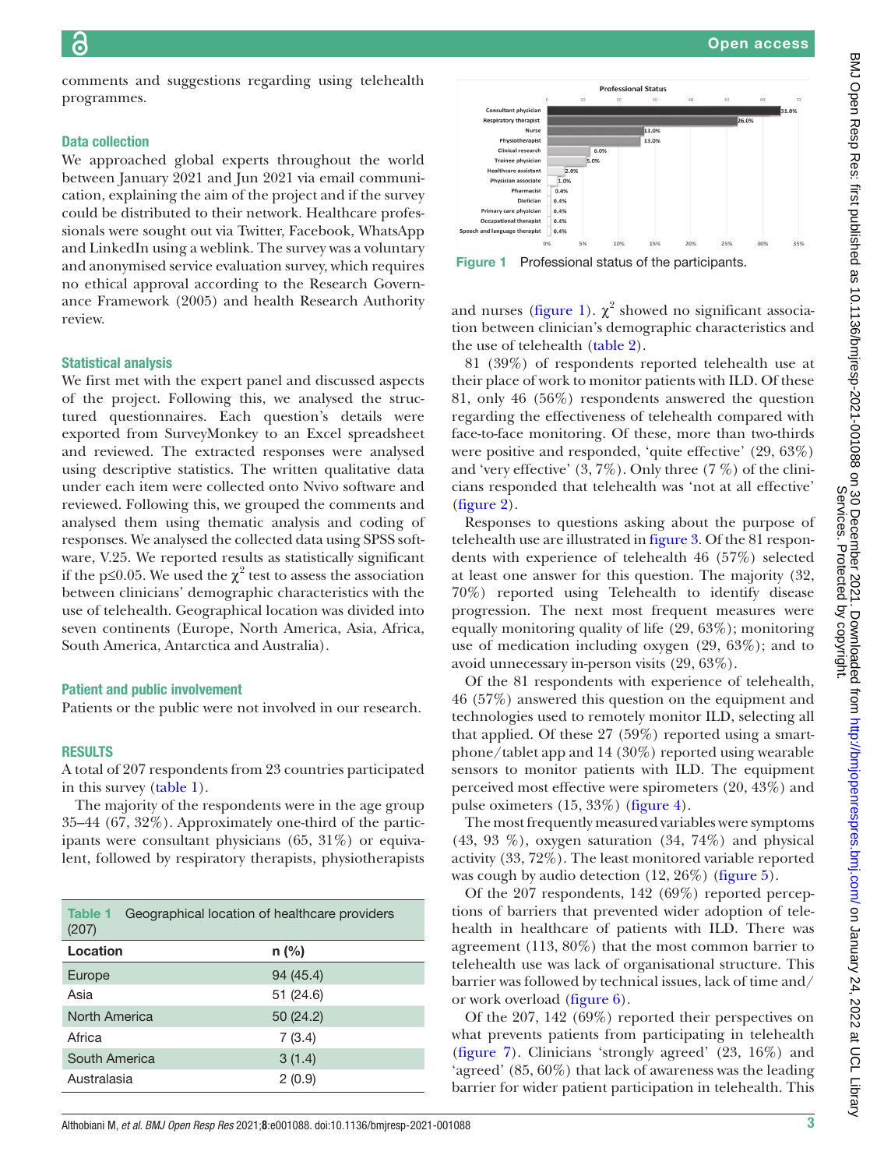comments and suggestions regarding using telehealth programmes.

#### Data collection

We approached global experts throughout the world between January 2021 and Jun 2021 via email communication, explaining the aim of the project and if the survey could be distributed to their network. Healthcare professionals were sought out via Twitter, Facebook, WhatsApp and LinkedIn using a weblink. The survey was a voluntary and anonymised service evaluation survey, which requires no ethical approval according to the Research Governance Framework (2005) and health Research Authority review.

#### Statistical analysis

We first met with the expert panel and discussed aspects of the project. Following this, we analysed the structured questionnaires. Each question's details were exported from SurveyMonkey to an Excel spreadsheet and reviewed. The extracted responses were analysed using descriptive statistics. The written qualitative data under each item were collected onto Nvivo software and reviewed. Following this, we grouped the comments and analysed them using thematic analysis and coding of responses. We analysed the collected data using SPSS software, V.25. We reported results as statistically significant if the p≤0.05. We used the  $\chi^2$  test to assess the association between clinicians' demographic characteristics with the use of telehealth. Geographical location was divided into seven continents (Europe, North America, Asia, Africa, South America, Antarctica and Australia).

#### Patient and public involvement

Patients or the public were not involved in our research.

#### RESULTS

A total of 207 respondents from 23 countries participated in this survey ([table](#page-2-0) 1).

The majority of the respondents were in the age group 35–44 (67, 32%). Approximately one-third of the participants were consultant physicians (65, 31%) or equivalent, followed by respiratory therapists, physiotherapists

<span id="page-2-0"></span>

| Table 1<br>Geographical location of healthcare providers<br>(207) |           |  |  |  |
|-------------------------------------------------------------------|-----------|--|--|--|
| Location                                                          | $n$ (%)   |  |  |  |
| Europe                                                            | 94 (45.4) |  |  |  |
| Asia                                                              | 51 (24.6) |  |  |  |
| <b>North America</b>                                              | 50(24.2)  |  |  |  |
| Africa                                                            | 7(3.4)    |  |  |  |
| South America                                                     | 3(1.4)    |  |  |  |
| Australasia                                                       | 2(0.9)    |  |  |  |



<span id="page-2-1"></span>Figure 1 Professional status of the participants.

0.4%

and nurses [\(figure](#page-2-1) 1).  $\chi^2$  showed no significant association between clinician's demographic characteristics and the use of telehealth ([table](#page-3-0) 2).

81 (39%) of respondents reported telehealth use at their place of work to monitor patients with ILD. Of these 81, only 46 (56%) respondents answered the question regarding the effectiveness of telehealth compared with face-to-face monitoring. Of these, more than two-thirds were positive and responded, 'quite effective' (29, 63%) and 'very effective'  $(3, 7\%)$ . Only three  $(7\%)$  of the clinicians responded that telehealth was 'not at all effective' [\(figure](#page-4-0) 2).

Responses to questions asking about the purpose of telehealth use are illustrated in [figure](#page-4-1) 3. Of the 81 respondents with experience of telehealth 46 (57%) selected at least one answer for this question. The majority (32, 70%) reported using Telehealth to identify disease progression. The next most frequent measures were equally monitoring quality of life (29, 63%); monitoring use of medication including oxygen (29, 63%); and to avoid unnecessary in-person visits (29, 63%).

Of the 81 respondents with experience of telehealth, 46 (57%) answered this question on the equipment and technologies used to remotely monitor ILD, selecting all that applied. Of these 27 (59%) reported using a smartphone/tablet app and 14 (30%) reported using wearable sensors to monitor patients with ILD. The equipment perceived most effective were spirometers (20, 43%) and pulse oximeters (15, 33%) ([figure](#page-5-0) 4).

The most frequently measured variables were symptoms  $(43, 93\%)$ , oxygen saturation  $(34, 74\%)$  and physical activity (33, 72%). The least monitored variable reported was cough by audio detection (12, 26%) [\(figure](#page-5-1) 5).

Of the 207 respondents, 142 (69%) reported perceptions of barriers that prevented wider adoption of telehealth in healthcare of patients with ILD. There was agreement (113, 80%) that the most common barrier to telehealth use was lack of organisational structure. This barrier was followed by technical issues, lack of time and/ or work overload ([figure](#page-5-2) 6).

Of the 207, 142 (69%) reported their perspectives on what prevents patients from participating in telehealth [\(figure](#page-5-3) 7). Clinicians 'strongly agreed' (23, 16%) and 'agreed' (85, 60%) that lack of awareness was the leading barrier for wider patient participation in telehealth. This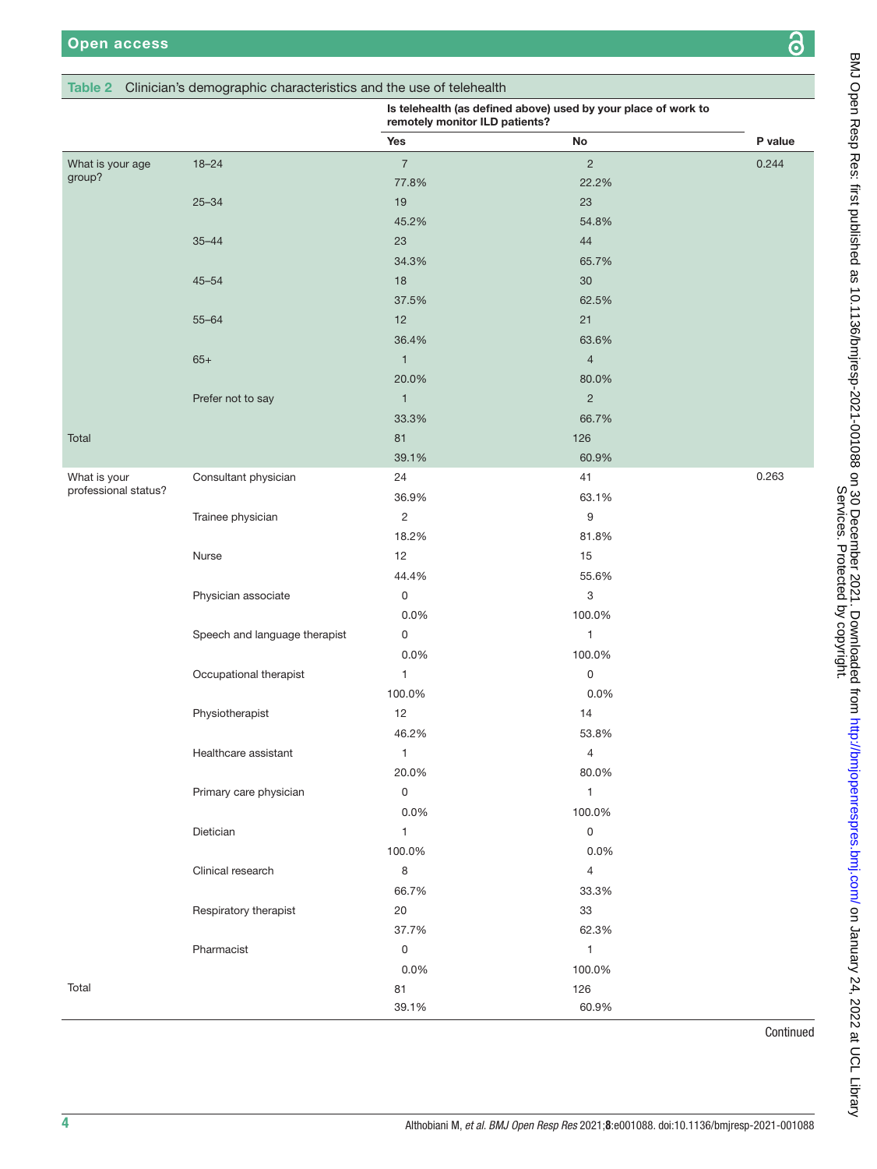### <span id="page-3-0"></span>Table 2 Clinician's demographic characteristics and

|                      |                               | Clinician's demographic characteristics and the use of telehealth<br>Is telehealth (as defined above) used by your place of work to<br>remotely monitor ILD patients? |                |           |
|----------------------|-------------------------------|-----------------------------------------------------------------------------------------------------------------------------------------------------------------------|----------------|-----------|
|                      |                               | Yes                                                                                                                                                                   | No             | P value   |
| What is your age     | $18 - 24$                     | $\overline{7}$                                                                                                                                                        | $\overline{2}$ | 0.244     |
| group?               |                               | 77.8%                                                                                                                                                                 | 22.2%          |           |
|                      | $25 - 34$                     | 19                                                                                                                                                                    | 23             |           |
|                      |                               | 45.2%                                                                                                                                                                 | 54.8%          |           |
|                      | $35 - 44$                     | 23                                                                                                                                                                    | 44             |           |
|                      |                               | 34.3%                                                                                                                                                                 | 65.7%          |           |
|                      | $45 - 54$                     | $18$                                                                                                                                                                  | 30             |           |
|                      |                               | 37.5%                                                                                                                                                                 | 62.5%          |           |
|                      | $55 - 64$                     | 12                                                                                                                                                                    | 21             |           |
|                      |                               | 36.4%                                                                                                                                                                 | 63.6%          |           |
|                      | $65+$                         | $\mathbf{1}$                                                                                                                                                          | $\overline{4}$ |           |
|                      |                               | 20.0%                                                                                                                                                                 | 80.0%          |           |
|                      | Prefer not to say             | $\mathbf{1}$                                                                                                                                                          | $\overline{2}$ |           |
|                      |                               | 33.3%                                                                                                                                                                 | 66.7%          |           |
| Total                |                               | 81                                                                                                                                                                    | 126            |           |
|                      |                               | 39.1%                                                                                                                                                                 | 60.9%          |           |
| What is your         | Consultant physician          | 24                                                                                                                                                                    | 41             | 0.263     |
| professional status? |                               | 36.9%                                                                                                                                                                 | 63.1%          |           |
|                      | Trainee physician             | $\overline{2}$                                                                                                                                                        | 9              |           |
|                      |                               | 18.2%                                                                                                                                                                 | 81.8%          |           |
|                      | Nurse                         | 12                                                                                                                                                                    | 15             |           |
|                      |                               | 44.4%                                                                                                                                                                 | 55.6%          |           |
|                      | Physician associate           | $\mathbf 0$                                                                                                                                                           | 3              |           |
|                      |                               | 0.0%                                                                                                                                                                  | 100.0%         |           |
|                      | Speech and language therapist | 0                                                                                                                                                                     | $\mathbf{1}$   |           |
|                      |                               | 0.0%                                                                                                                                                                  | 100.0%         |           |
|                      | Occupational therapist        | $\mathbf{1}$                                                                                                                                                          | $\mathsf 0$    |           |
|                      |                               | 100.0%                                                                                                                                                                | 0.0%           |           |
|                      | Physiotherapist               | 12                                                                                                                                                                    | 14             |           |
|                      |                               | 46.2%                                                                                                                                                                 | 53.8%          |           |
|                      | Healthcare assistant          | $\mathbf{1}$                                                                                                                                                          | $\overline{4}$ |           |
|                      |                               | 20.0%                                                                                                                                                                 | 80.0%          |           |
|                      | Primary care physician        | $\mathsf 0$                                                                                                                                                           | $\mathbf{1}$   |           |
|                      |                               | 0.0%                                                                                                                                                                  | 100.0%         |           |
|                      | Dietician                     | $\mathbf{1}$                                                                                                                                                          | $\mathsf 0$    |           |
|                      |                               | 100.0%                                                                                                                                                                | 0.0%           |           |
|                      | Clinical research             | 8                                                                                                                                                                     | $\overline{4}$ |           |
|                      |                               | 66.7%                                                                                                                                                                 | 33.3%          |           |
|                      | Respiratory therapist         | $20\,$                                                                                                                                                                | 33             |           |
|                      |                               | 37.7%                                                                                                                                                                 | 62.3%          |           |
|                      | Pharmacist                    | $\mathbf 0$                                                                                                                                                           | $\mathbf{1}$   |           |
|                      |                               | 0.0%                                                                                                                                                                  | 100.0%         |           |
| Total                |                               | 81                                                                                                                                                                    | 126            |           |
|                      |                               | 39.1%                                                                                                                                                                 | 60.9%          |           |
|                      |                               |                                                                                                                                                                       |                | Continued |
|                      |                               |                                                                                                                                                                       |                |           |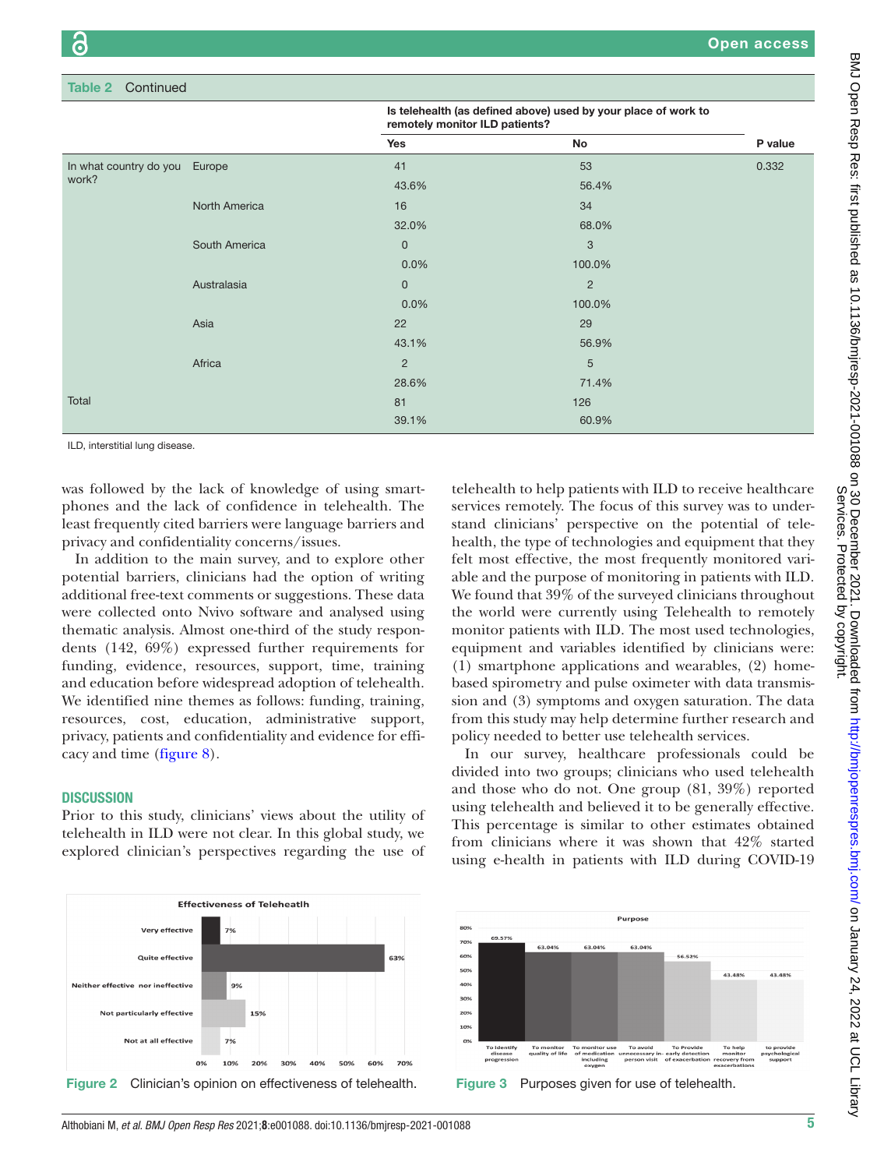| Continued<br>Table 2            |               |                                                                                                  |                |         |  |  |  |  |
|---------------------------------|---------------|--------------------------------------------------------------------------------------------------|----------------|---------|--|--|--|--|
|                                 |               | Is telehealth (as defined above) used by your place of work to<br>remotely monitor ILD patients? |                |         |  |  |  |  |
|                                 |               | Yes                                                                                              | No             | P value |  |  |  |  |
| In what country do you<br>work? | Europe        | 41                                                                                               | 53             | 0.332   |  |  |  |  |
|                                 |               | 43.6%                                                                                            | 56.4%          |         |  |  |  |  |
|                                 | North America | 16                                                                                               | 34             |         |  |  |  |  |
|                                 |               | 32.0%                                                                                            | 68.0%          |         |  |  |  |  |
|                                 | South America | $\pmb{0}$                                                                                        | $\mathbf{3}$   |         |  |  |  |  |
|                                 |               | 0.0%                                                                                             | 100.0%         |         |  |  |  |  |
|                                 | Australasia   | $\mathbf 0$                                                                                      | $\overline{2}$ |         |  |  |  |  |
|                                 |               | 0.0%                                                                                             | 100.0%         |         |  |  |  |  |
|                                 | Asia          | 22                                                                                               | 29             |         |  |  |  |  |
|                                 |               | 43.1%                                                                                            | 56.9%          |         |  |  |  |  |
|                                 | Africa        | $\overline{2}$                                                                                   | 5              |         |  |  |  |  |
|                                 |               | 28.6%                                                                                            | 71.4%          |         |  |  |  |  |
| Total                           |               | 81                                                                                               | 126            |         |  |  |  |  |
|                                 |               | 39.1%                                                                                            | 60.9%          |         |  |  |  |  |

ILD, interstitial lung disease.

was followed by the lack of knowledge of using smartphones and the lack of confidence in telehealth. The least frequently cited barriers were language barriers and privacy and confidentiality concerns/issues.

In addition to the main survey, and to explore other potential barriers, clinicians had the option of writing additional free-text comments or suggestions. These data were collected onto Nvivo software and analysed using thematic analysis. Almost one-third of the study respondents (142, 69%) expressed further requirements for funding, evidence, resources, support, time, training and education before widespread adoption of telehealth. We identified nine themes as follows: funding, training, resources, cost, education, administrative support, privacy, patients and confidentiality and evidence for efficacy and time ([figure](#page-6-6) 8).

#### **DISCUSSION**

Prior to this study, clinicians' views about the utility of telehealth in ILD were not clear. In this global study, we explored clinician's perspectives regarding the use of



In our survey, healthcare professionals could be divided into two groups; clinicians who used telehealth and those who do not. One group (81, 39%) reported using telehealth and believed it to be generally effective. This percentage is similar to other estimates obtained from clinicians where it was shown that 42% started using e-health in patients with ILD during COVID-19

<span id="page-4-0"></span>



<span id="page-4-1"></span>

Services. Protected by copyright.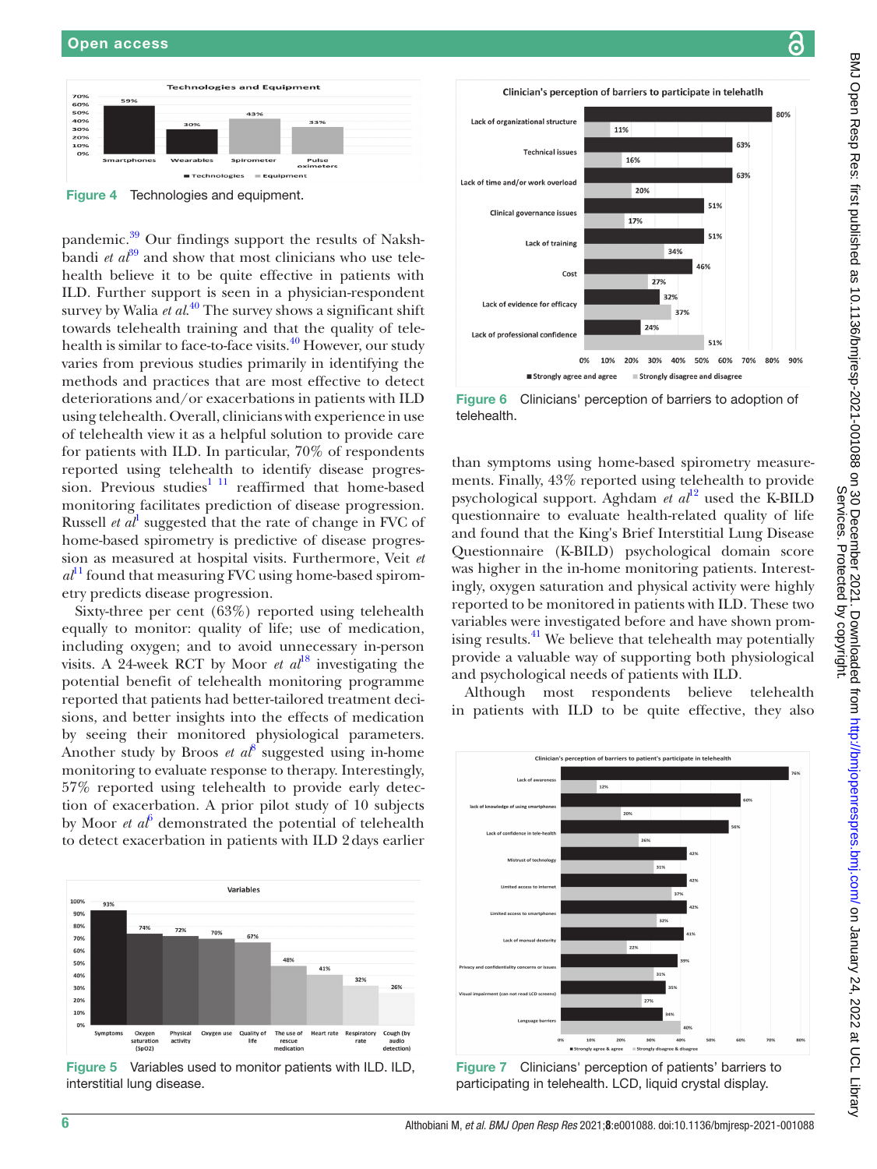

<span id="page-5-0"></span>pandemic.<sup>39</sup> Our findings support the results of Nakshbandi *et*  $a\tilde{t}^9$  and show that most clinicians who use telehealth believe it to be quite effective in patients with ILD. Further support is seen in a physician-respondent survey by Walia *et al*. [40](#page-7-9) The survey shows a significant shift towards telehealth training and that the quality of telehealth is similar to face-to-face visits.<sup>40</sup> However, our study varies from previous studies primarily in identifying the methods and practices that are most effective to detect deteriorations and/or exacerbations in patients with ILD using telehealth. Overall, clinicians with experience in use of telehealth view it as a helpful solution to provide care for patients with ILD. In particular, 70% of respondents reported using telehealth to identify disease progression. Previous studies<sup>1 11</sup> reaffirmed that home-based monitoring facilitates prediction of disease progression. Russell  $et al<sup>1</sup>$  $et al<sup>1</sup>$  $et al<sup>1</sup>$  suggested that the rate of change in FVC of home-based spirometry is predictive of disease progression as measured at hospital visits. Furthermore, Veit *et*   $a<sup>11</sup>$  $a<sup>11</sup>$  $a<sup>11</sup>$  found that measuring FVC using home-based spirometry predicts disease progression. Sixty-three per cent (63%) reported using telehealth

equally to monitor: quality of life; use of medication, including oxygen; and to avoid unnecessary in-person visits. A 24-week RCT by Moor *et al*<sup>18</sup> investigating the potential benefit of telehealth monitoring programme reported that patients had better-tailored treatment decisions, and better insights into the effects of medication by seeing their monitored physiological parameters. Another study by Broos *et al*<sup>[8](#page-6-5)</sup> suggested using in-home monitoring to evaluate response to therapy. Interestingly, 57% reported using telehealth to provide early detection of exacerbation. A prior pilot study of 10 subjects by Moor  $et\ a^6$  $et\ a^6$  demonstrated the potential of telehealth to detect exacerbation in patients with ILD 2days earlier



<span id="page-5-1"></span>Figure 5 Variables used to monitor patients with ILD. ILD, interstitial lung disease.

<span id="page-5-2"></span>

Clinician's perception of barriers to participate in telehatlh

16%

11%

Lack of organizational structure

Lack of time and/or work overload

**Technical issues** 

Clinician's perception of barriers to patient's participate in telehealth

<span id="page-5-3"></span>Figure 7 Clinicians' perception of patients' barriers to participating in telehealth. LCD, liquid crystal display.

80%

63%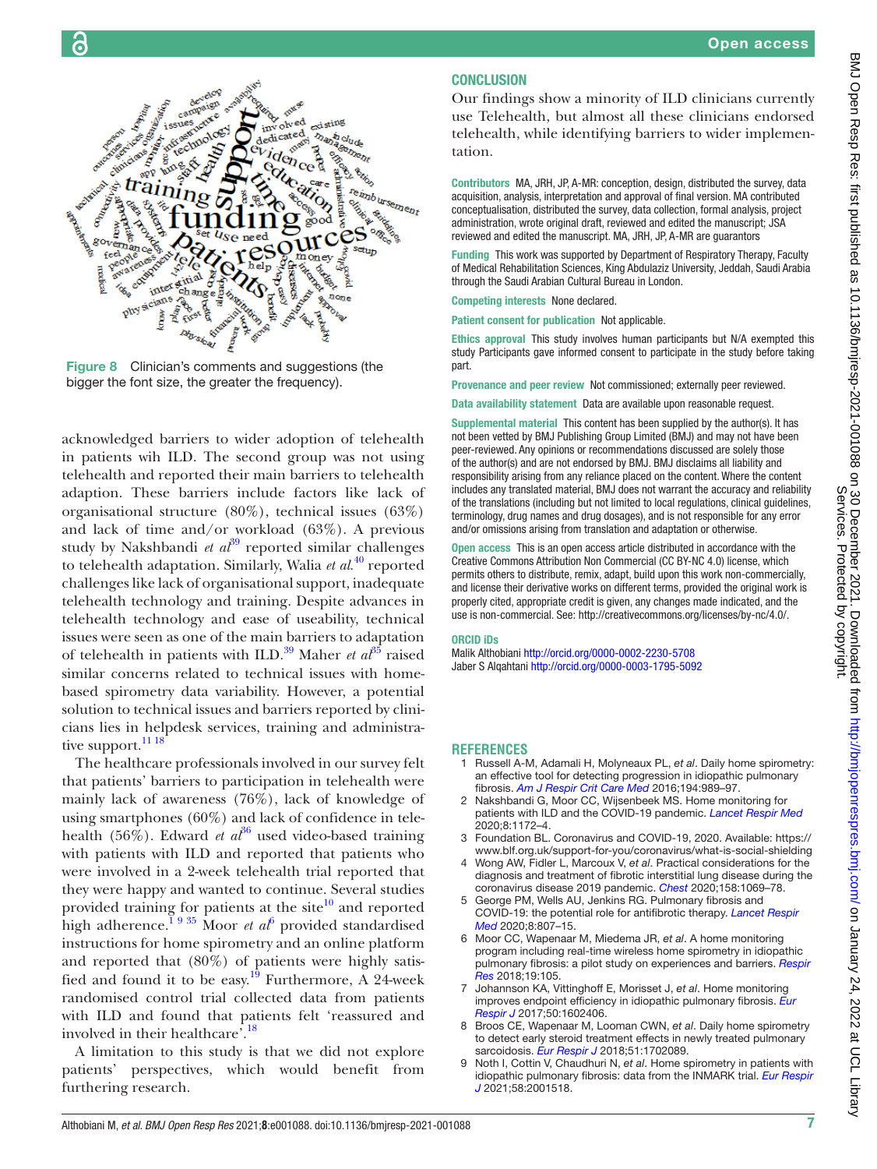

<span id="page-6-6"></span>Figure 8 Clinician's comments and suggestions (the bigger the font size, the greater the frequency).

acknowledged barriers to wider adoption of telehealth in patients wih ILD. The second group was not using telehealth and reported their main barriers to telehealth adaption. These barriers include factors like lack of organisational structure (80%), technical issues (63%) and lack of time and/or workload (63%). A previous study by Nakshbandi *et*  $a^{39}$  $a^{39}$  $a^{39}$  reported similar challenges to telehealth adaptation. Similarly, Walia *et al*. [40](#page-7-9) reported challenges like lack of organisational support, inadequate telehealth technology and training. Despite advances in telehealth technology and ease of useability, technical issues were seen as one of the main barriers to adaptation of telehealth in patients with ILD.<sup>39</sup> Maher *et al*<sup>[35](#page-7-14)</sup> raised similar concerns related to technical issues with homebased spirometry data variability. However, a potential solution to technical issues and barriers reported by clinicians lies in helpdesk services, training and administrative support.<sup>11 18</sup>

The healthcare professionals involved in our survey felt that patients' barriers to participation in telehealth were mainly lack of awareness (76%), lack of knowledge of using smartphones (60%) and lack of confidence in telehealth (56%). Edward *et al*<sup>36</sup> used video-based training with patients with ILD and reported that patients who were involved in a 2-week telehealth trial reported that they were happy and wanted to continue. Several studies provided training for patients at the site $10$  and reported high adherence.<sup>1935</sup> Moor *et al*<sup>[6](#page-6-3)</sup> provided standardised instructions for home spirometry and an online platform and reported that (80%) of patients were highly satisfied and found it to be easy.<sup>19</sup> Furthermore, A 24-week randomised control trial collected data from patients with ILD and found that patients felt 'reassured and involved in their healthcare'.<sup>[18](#page-7-11)</sup>

A limitation to this study is that we did not explore patients' perspectives, which would benefit from furthering research.

### **CONCLUSION**

Our findings show a minority of ILD clinicians currently use Telehealth, but almost all these clinicians endorsed telehealth, while identifying barriers to wider implementation.

Contributors MA, JRH, JP, A-MR: conception, design, distributed the survey, data acquisition, analysis, interpretation and approval of final version. MA contributed conceptualisation, distributed the survey, data collection, formal analysis, project administration, wrote original draft, reviewed and edited the manuscript; JSA reviewed and edited the manuscript. MA, JRH, JP, A-MR are guarantors

Funding This work was supported by Department of Respiratory Therapy, Faculty of Medical Rehabilitation Sciences, King Abdulaziz University, Jeddah, Saudi Arabia through the Saudi Arabian Cultural Bureau in London.

Competing interests None declared.

Patient consent for publication Not applicable.

Ethics approval This study involves human participants but N/A exempted this study Participants gave informed consent to participate in the study before taking part.

Provenance and peer review Not commissioned; externally peer reviewed.

Data availability statement Data are available upon reasonable request.

Supplemental material This content has been supplied by the author(s). It has not been vetted by BMJ Publishing Group Limited (BMJ) and may not have been peer-reviewed. Any opinions or recommendations discussed are solely those of the author(s) and are not endorsed by BMJ. BMJ disclaims all liability and responsibility arising from any reliance placed on the content. Where the content includes any translated material, BMJ does not warrant the accuracy and reliability of the translations (including but not limited to local regulations, clinical guidelines, terminology, drug names and drug dosages), and is not responsible for any error and/or omissions arising from translation and adaptation or otherwise.

Open access This is an open access article distributed in accordance with the Creative Commons Attribution Non Commercial (CC BY-NC 4.0) license, which permits others to distribute, remix, adapt, build upon this work non-commercially, and license their derivative works on different terms, provided the original work is properly cited, appropriate credit is given, any changes made indicated, and the use is non-commercial. See:<http://creativecommons.org/licenses/by-nc/4.0/>.

#### ORCID iDs

Malik Althobiani <http://orcid.org/0000-0002-2230-5708> Jaber S Alqahtani <http://orcid.org/0000-0003-1795-5092>

#### **REFERENCES**

- <span id="page-6-0"></span>1 Russell A-M, Adamali H, Molyneaux PL, *et al*. Daily home spirometry: an effective tool for detecting progression in idiopathic pulmonary fibrosis. *[Am J Respir Crit Care Med](http://dx.doi.org/10.1164/rccm.201511-2152OC)* 2016;194:989–97.
- 2 Nakshbandi G, Moor CC, Wijsenbeek MS. Home monitoring for patients with ILD and the COVID-19 pandemic. *[Lancet Respir Med](http://dx.doi.org/10.1016/S2213-2600(20)30452-5)* 2020;8:1172–4.
- <span id="page-6-1"></span>3 Foundation BL. Coronavirus and COVID-19, 2020. Available: [https://](https://www.blf.org.uk/support-for-you/coronavirus/what-is-social-shielding) [www.blf.org.uk/support-for-you/coronavirus/what-is-social-shielding](https://www.blf.org.uk/support-for-you/coronavirus/what-is-social-shielding)
- <span id="page-6-2"></span>4 Wong AW, Fidler L, Marcoux V, *et al*. Practical considerations for the diagnosis and treatment of fibrotic interstitial lung disease during the coronavirus disease 2019 pandemic. *[Chest](http://dx.doi.org/10.1016/j.chest.2020.04.019)* 2020;158:1069–78.
- 5 George PM, Wells AU, Jenkins RG. Pulmonary fibrosis and COVID-19: the potential role for antifibrotic therapy. *[Lancet Respir](http://dx.doi.org/10.1016/S2213-2600(20)30225-3)  [Med](http://dx.doi.org/10.1016/S2213-2600(20)30225-3)* 2020;8:807–15.
- <span id="page-6-3"></span>6 Moor CC, Wapenaar M, Miedema JR, *et al*. A home monitoring program including real-time wireless home spirometry in idiopathic pulmonary fibrosis: a pilot study on experiences and barriers. *[Respir](http://dx.doi.org/10.1186/s12931-018-0810-3)  [Res](http://dx.doi.org/10.1186/s12931-018-0810-3)* 2018;19:105.
- <span id="page-6-4"></span>7 Johannson KA, Vittinghoff E, Morisset J, *et al*. Home monitoring improves endpoint efficiency in idiopathic pulmonary fibrosis. *[Eur](http://dx.doi.org/10.1183/13993003.02406-2016)  [Respir J](http://dx.doi.org/10.1183/13993003.02406-2016)* 2017;50:1602406.
- <span id="page-6-5"></span>8 Broos CE, Wapenaar M, Looman CWN, *et al*. Daily home spirometry to detect early steroid treatment effects in newly treated pulmonary sarcoidosis. *[Eur Respir J](http://dx.doi.org/10.1183/13993003.02089-2017)* 2018;51:1702089.
- 9 Noth I, Cottin V, Chaudhuri N, *et al*. Home spirometry in patients with idiopathic pulmonary fibrosis: data from the INMARK trial. *[Eur Respir](http://dx.doi.org/10.1183/13993003.01518-2020)  [J](http://dx.doi.org/10.1183/13993003.01518-2020)* 2021;58:2001518.